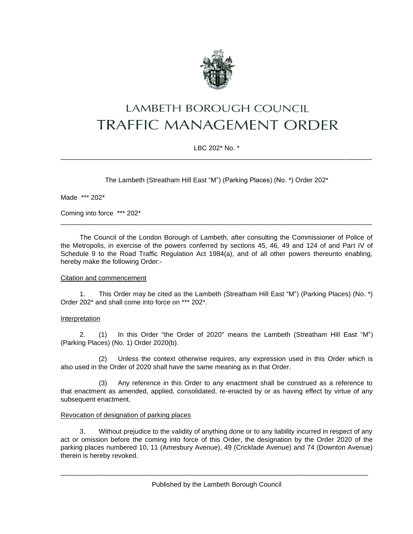

# LAMBETH BOROUGH COUNCIL **TRAFFIC MANAGEMENT ORDER**

## LBC 202\* No. \* \_\_\_\_\_\_\_\_\_\_\_\_\_\_\_\_\_\_\_\_\_\_\_\_\_\_\_\_\_\_\_\_\_\_\_\_\_\_\_\_\_\_\_\_\_\_\_\_\_\_\_\_\_\_\_\_\_\_\_\_\_\_\_\_\_\_\_\_\_\_\_\_\_\_\_\_\_\_\_\_\_\_\_

The Lambeth (Streatham Hill East "M") (Parking Places) (No. \*) Order 202\*

Made \*\*\* 202\*

Coming into force \*\*\* 202\*

The Council of the London Borough of Lambeth, after consulting the Commissioner of Police of the Metropolis, in exercise of the powers conferred by sections 45, 46, 49 and 124 of and Part IV of Schedule 9 to the Road Traffic Regulation Act 1984(a), and of all other powers thereunto enabling, hereby make the following Order:-

\_\_\_\_\_\_\_\_\_\_\_\_\_\_\_\_\_\_\_\_\_\_\_\_\_\_\_\_\_\_\_\_\_\_\_\_\_\_\_\_\_\_\_\_\_\_\_\_\_\_\_\_\_\_\_\_\_\_\_\_\_\_\_\_\_\_\_\_\_\_\_\_\_\_\_\_\_\_\_\_\_\_\_

## Citation and commencement

1. This Order may be cited as the Lambeth (Streatham Hill East "M") (Parking Places) (No. \*) Order 202\* and shall come into force on \*\*\* 202\*.

### Interpretation

2. (1) In this Order "the Order of 2020" means the Lambeth (Streatham Hill East "M") (Parking Places) (No. 1) Order 2020(b).

(2) Unless the context otherwise requires, any expression used in this Order which is also used in the Order of 2020 shall have the same meaning as in that Order.

(3) Any reference in this Order to any enactment shall be construed as a reference to that enactment as amended, applied, consolidated, re-enacted by or as having effect by virtue of any subsequent enactment.

## Revocation of designation of parking places

3. Without prejudice to the validity of anything done or to any liability incurred in respect of any act or omission before the coming into force of this Order, the designation by the Order 2020 of the parking places numbered 10, 11 (Amesbury Avenue), 49 (Cricklade Avenue) and 74 (Downton Avenue) therein is hereby revoked.

\_\_\_\_\_\_\_\_\_\_\_\_\_\_\_\_\_\_\_\_\_\_\_\_\_\_\_\_\_\_\_\_\_\_\_\_\_\_\_\_\_\_\_\_\_\_\_\_\_\_\_\_\_\_\_\_\_\_\_\_\_\_\_\_\_\_\_\_\_\_\_\_\_\_\_\_\_\_\_\_\_\_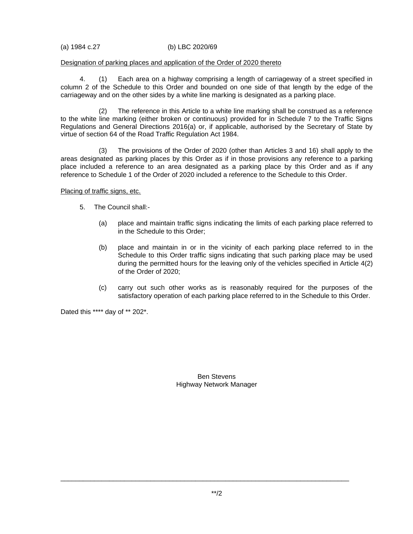(a) 1984 c.27 (b) LBC 2020/69

### Designation of parking places and application of the Order of 2020 thereto

4. (1) Each area on a highway comprising a length of carriageway of a street specified in column 2 of the Schedule to this Order and bounded on one side of that length by the edge of the carriageway and on the other sides by a white line marking is designated as a parking place.

(2) The reference in this Article to a white line marking shall be construed as a reference to the white line marking (either broken or continuous) provided for in Schedule 7 to the Traffic Signs Regulations and General Directions 2016(a) or, if applicable, authorised by the Secretary of State by virtue of section 64 of the Road Traffic Regulation Act 1984.

(3) The provisions of the Order of 2020 (other than Articles 3 and 16) shall apply to the areas designated as parking places by this Order as if in those provisions any reference to a parking place included a reference to an area designated as a parking place by this Order and as if any reference to Schedule 1 of the Order of 2020 included a reference to the Schedule to this Order.

Placing of traffic signs, etc.

- 5. The Council shall:-
	- (a) place and maintain traffic signs indicating the limits of each parking place referred to in the Schedule to this Order;
	- (b) place and maintain in or in the vicinity of each parking place referred to in the Schedule to this Order traffic signs indicating that such parking place may be used during the permitted hours for the leaving only of the vehicles specified in Article 4(2) of the Order of 2020;
	- (c) carry out such other works as is reasonably required for the purposes of the satisfactory operation of each parking place referred to in the Schedule to this Order.

Dated this \*\*\*\* day of \*\* 202\*.

Ben Stevens Highway Network Manager

\_\_\_\_\_\_\_\_\_\_\_\_\_\_\_\_\_\_\_\_\_\_\_\_\_\_\_\_\_\_\_\_\_\_\_\_\_\_\_\_\_\_\_\_\_\_\_\_\_\_\_\_\_\_\_\_\_\_\_\_\_\_\_\_\_\_\_\_\_\_\_\_\_\_\_\_\_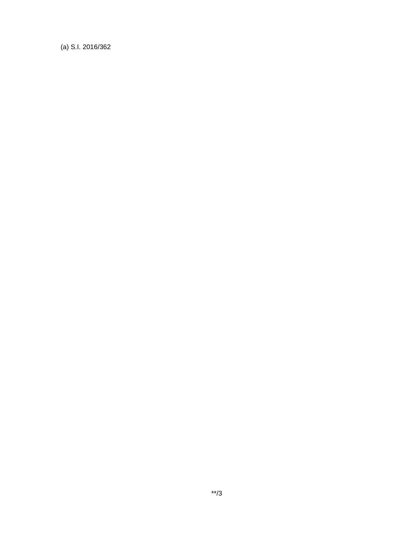(a) S.I. 2016/362